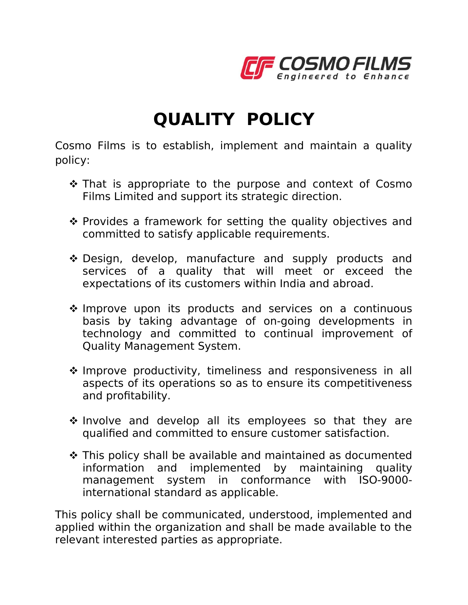

## **QUALITY POLICY**

Cosmo Films is to establish, implement and maintain a quality policy:

- $\cdot$  That is appropriate to the purpose and context of Cosmo Films Limited and support its strategic direction.
- $\cdot$  Provides a framework for setting the quality objectives and committed to satisfy applicable requirements.
- \* Design, develop, manufacture and supply products and services of a quality that will meet or exceed the expectations of its customers within India and abroad.
- \* Improve upon its products and services on a continuous basis by taking advantage of on-going developments in technology and committed to continual improvement of Quality Management System.
- Improve productivity, timeliness and responsiveness in all aspects of its operations so as to ensure its competitiveness and profitability.
- $\cdot$  Involve and develop all its employees so that they are qualified and committed to ensure customer satisfaction.
- This policy shall be available and maintained as documented information and implemented by maintaining quality management system in conformance with ISO-9000 international standard as applicable.

This policy shall be communicated, understood, implemented and applied within the organization and shall be made available to the relevant interested parties as appropriate.